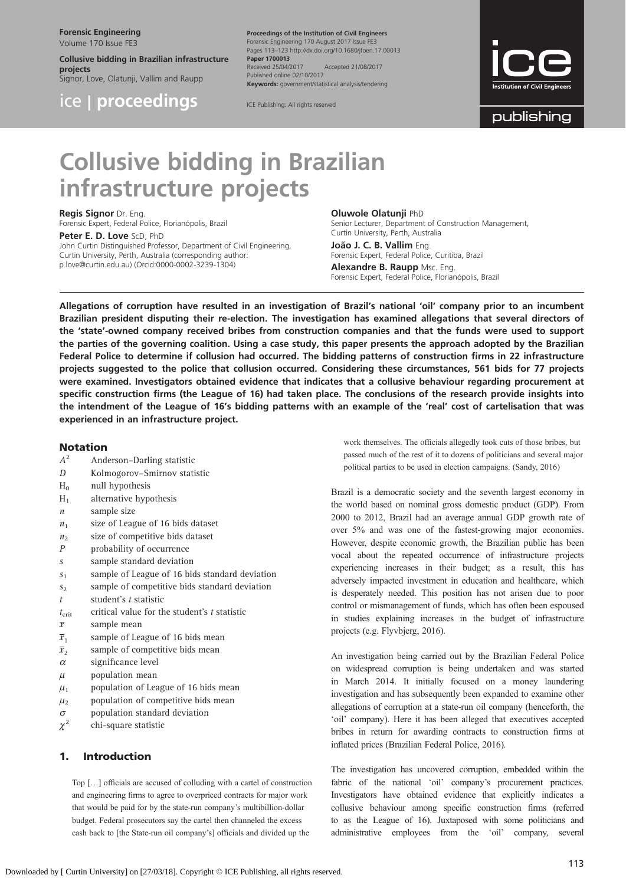Forensic Engineering

Volume 170 Issue FE3

Collusive bidding in Brazilian infrastructure projects

Signor, Love, Olatunji, Vallim and Raupp

ice | proceedings

Proceedings of the Institution of Civil Engineers Forensic Engineering 170 August 2017 Issue FE3 Pages 113–123 http://dx.doi.org/10.1680/jfoen.17.00013 Paper 1700013<br>Received 25/04/2017 Received 25/04/2017 Accepted 21/08/2017 Published online 02/10/2017 Keywords: government/statistical analysis/tendering

ICE Publishing: All rights reserved



publishing

# Collusive bidding in Brazilian infrastructure projects

## Regis Signor Dr. Eng.

Forensic Expert, Federal Police, Florianópolis, Brazil

#### Peter E. D. Love ScD, PhD

John Curtin Distinguished Professor, Department of Civil Engineering, Curtin University, Perth, Australia (corresponding author: [p.love@curtin.edu.au](mailto:p.love@curtin.edu.au)) (Orcid:0000-0002-3239-1304)

#### Oluwole Olatunji PhD

Senior Lecturer, Department of Construction Management, Curtin University, Perth, Australia João J. C. B. Vallim Eng. Forensic Expert, Federal Police, Curitiba, Brazil Alexandre B. Raupp Msc. Eng. Forensic Expert, Federal Police, Florianópolis, Brazil

Allegations of corruption have resulted in an investigation of Brazil's national 'oil' company prior to an incumbent Brazilian president disputing their re-election. The investigation has examined allegations that several directors of the 'state'-owned company received bribes from construction companies and that the funds were used to support the parties of the governing coalition. Using a case study, this paper presents the approach adopted by the Brazilian Federal Police to determine if collusion had occurred. The bidding patterns of construction firms in 22 infrastructure projects suggested to the police that collusion occurred. Considering these circumstances, 561 bids for 77 projects were examined. Investigators obtained evidence that indicates that a collusive behaviour regarding procurement at specific construction firms (the League of 16) had taken place. The conclusions of the research provide insights into the intendment of the League of 16's bidding patterns with an example of the 'real' cost of cartelisation that was experienced in an infrastructure project.

#### Notation

- $A^2$  Anderson–Darling statistic
- D Kolmogorov–Smirnov statistic
- $H<sub>0</sub>$  null hypothesis
- $H<sub>1</sub>$  alternative hypothesis
- $n$  sample size
- $n_1$  size of League of 16 bids dataset
- $n<sub>2</sub>$  size of competitive bids dataset
- P probability of occurrence
- s sample standard deviation
- $s<sub>1</sub>$  sample of League of 16 bids standard deviation
- $s<sub>2</sub>$  sample of competitive bids standard deviation
- t student's t statistic
- $t_{\text{crit}}$  critical value for the student's t statistic
- $\overline{x}$  sample mean
- $\overline{x}_1$  sample of League of 16 bids mean
- $\overline{x}_2$  sample of competitive bids mean
- $\alpha$  significance level
- $\mu$  population mean
- $u_1$  population of League of 16 bids mean
- $\mu_2$  population of competitive bids mean
- $\sigma$  population standard deviation
- $\chi^2$  chi-square statistic

## 1. Introduction

Top […] officials are accused of colluding with a cartel of construction and engineering firms to agree to overpriced contracts for major work that would be paid for by the state-run company's multibillion-dollar budget. Federal prosecutors say the cartel then channeled the excess cash back to [the State-run oil company's] officials and divided up the

work themselves. The officials allegedly took cuts of those bribes, but passed much of the rest of it to dozens of politicians and several major political parties to be used in election campaigns. [\(Sandy, 2016](#page-10-0))

Brazil is a democratic society and the seventh largest economy in the world based on nominal gross domestic product (GDP). From 2000 to 2012, Brazil had an average annual GDP growth rate of over 5% and was one of the fastest-growing major economies. However, despite economic growth, the Brazilian public has been vocal about the repeated occurrence of infrastructure projects experiencing increases in their budget; as a result, this has adversely impacted investment in education and healthcare, which is desperately needed. This position has not arisen due to poor control or mismanagement of funds, which has often been espoused in studies explaining increases in the budget of infrastructure projects (e.g. [Flyvbjerg, 2016\)](#page-9-0).

An investigation being carried out by the Brazilian Federal Police on widespread corruption is being undertaken and was started in March 2014. It initially focused on a money laundering investigation and has subsequently been expanded to examine other allegations of corruption at a state-run oil company (henceforth, the 'oil' company). Here it has been alleged that executives accepted bribes in return for awarding contracts to construction firms at inflated prices ([Brazilian Federal Police, 2016](#page-9-0)).

The investigation has uncovered corruption, embedded within the fabric of the national 'oil' company's procurement practices. Investigators have obtained evidence that explicitly indicates a collusive behaviour among specific construction firms (referred to as the League of 16). Juxtaposed with some politicians and administrative employees from the 'oil' company, several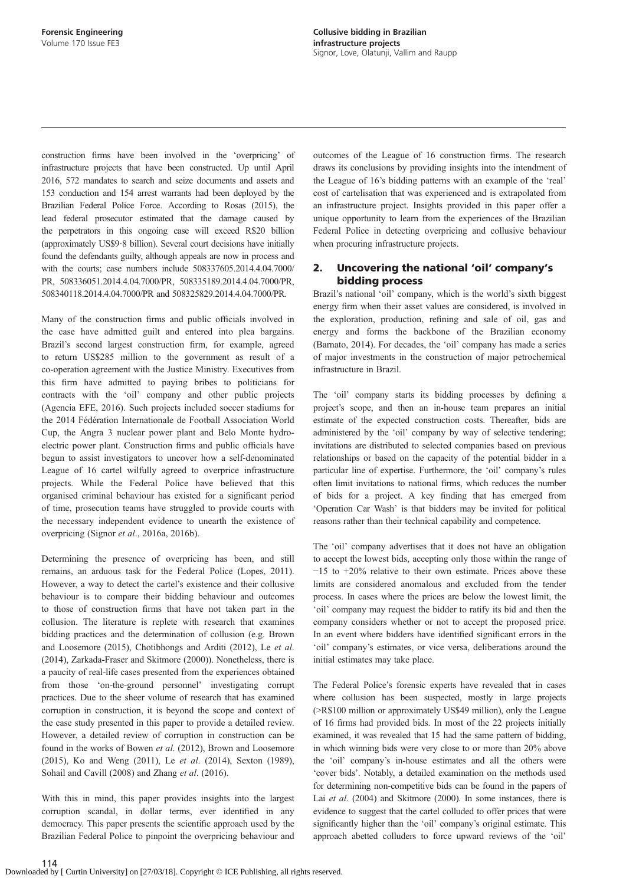construction firms have been involved in the 'overpricing' of infrastructure projects that have been constructed. Up until April 2016, 572 mandates to search and seize documents and assets and 153 conduction and 154 arrest warrants had been deployed by the Brazilian Federal Police Force. According to [Rosas \(2015\)](#page-10-0), the lead federal prosecutor estimated that the damage caused by the perpetrators in this ongoing case will exceed R\$20 billion (approximately US\$9·8 billion). Several court decisions have initially found the defendants guilty, although appeals are now in process and with the courts; case numbers include 508337605.2014.4.04.7000/ PR, 508336051.2014.4.04.7000/PR, 508335189.2014.4.04.7000/PR, 508340118.2014.4.04.7000/PR and 508325829.2014.4.04.7000/PR.

Many of the construction firms and public officials involved in the case have admitted guilt and entered into plea bargains. Brazil's second largest construction firm, for example, agreed to return US\$285 million to the government as result of a co-operation agreement with the Justice Ministry. Executives from this firm have admitted to paying bribes to politicians for contracts with the 'oil' company and other public projects [\(Agencia EFE, 2016\)](#page-9-0). Such projects included soccer stadiums for the 2014 Fédération Internationale de Football Association World Cup, the Angra 3 nuclear power plant and Belo Monte hydroelectric power plant. Construction firms and public officials have begun to assist investigators to uncover how a self-denominated League of 16 cartel wilfully agreed to overprice infrastructure projects. While the Federal Police have believed that this organised criminal behaviour has existed for a significant period of time, prosecution teams have struggled to provide courts with the necessary independent evidence to unearth the existence of overpricing (Signor et al[., 2016a](#page-10-0), [2016b\)](#page-10-0).

Determining the presence of overpricing has been, and still remains, an arduous task for the Federal Police ([Lopes, 2011\)](#page-10-0). However, a way to detect the cartel's existence and their collusive behaviour is to compare their bidding behaviour and outcomes to those of construction firms that have not taken part in the collusion. The literature is replete with research that examines bidding practices and the determination of collusion (e.g. [Brown](#page-9-0) [and Loosemore \(2015\), Chotibhongs and Arditi \(2012\)](#page-9-0), Le [et al](#page-10-0). [\(2014\)](#page-10-0), [Zarkada-Fraser and Skitmore \(2000\)](#page-10-0)). Nonetheless, there is a paucity of real-life cases presented from the experiences obtained from those 'on-the-ground personnel' investigating corrupt practices. Due to the sheer volume of research that has examined corruption in construction, it is beyond the scope and context of the case study presented in this paper to provide a detailed review. However, a detailed review of corruption in construction can be found in the works of Bowen et al[. \(2012\), Brown and Loosemore](#page-9-0) [\(2015\)](#page-9-0), [Ko and Weng \(2011\)](#page-10-0), Le et al[. \(2014\), Sexton \(1989\),](#page-10-0) [Sohail and Cavill \(2008\)](#page-10-0) and Zhang et al[. \(2016\)](#page-10-0).

With this in mind, this paper provides insights into the largest corruption scandal, in dollar terms, ever identified in any democracy. This paper presents the scientific approach used by the Brazilian Federal Police to pinpoint the overpricing behaviour and outcomes of the League of 16 construction firms. The research draws its conclusions by providing insights into the intendment of the League of 16's bidding patterns with an example of the 'real' cost of cartelisation that was experienced and is extrapolated from an infrastructure project. Insights provided in this paper offer a unique opportunity to learn from the experiences of the Brazilian Federal Police in detecting overpricing and collusive behaviour when procuring infrastructure projects.

## 2. Uncovering the national 'oil' company's bidding process

Brazil's national 'oil' company, which is the world's sixth biggest energy firm when their asset values are considered, is involved in the exploration, production, refining and sale of oil, gas and energy and forms the backbone of the Brazilian economy ([Barnato, 2014](#page-9-0)). For decades, the 'oil' company has made a series of major investments in the construction of major petrochemical infrastructure in Brazil.

The 'oil' company starts its bidding processes by defining a project's scope, and then an in-house team prepares an initial estimate of the expected construction costs. Thereafter, bids are administered by the 'oil' company by way of selective tendering; invitations are distributed to selected companies based on previous relationships or based on the capacity of the potential bidder in a particular line of expertise. Furthermore, the 'oil' company's rules often limit invitations to national firms, which reduces the number of bids for a project. A key finding that has emerged from 'Operation Car Wash' is that bidders may be invited for political reasons rather than their technical capability and competence.

The 'oil' company advertises that it does not have an obligation to accept the lowest bids, accepting only those within the range of −15 to +20% relative to their own estimate. Prices above these limits are considered anomalous and excluded from the tender process. In cases where the prices are below the lowest limit, the 'oil' company may request the bidder to ratify its bid and then the company considers whether or not to accept the proposed price. In an event where bidders have identified significant errors in the 'oil' company's estimates, or vice versa, deliberations around the initial estimates may take place.

The Federal Police's forensic experts have revealed that in cases where collusion has been suspected, mostly in large projects (>R\$100 million or approximately US\$49 million), only the League of 16 firms had provided bids. In most of the 22 projects initially examined, it was revealed that 15 had the same pattern of bidding, in which winning bids were very close to or more than 20% above the 'oil' company's in-house estimates and all the others were 'cover bids'. Notably, a detailed examination on the methods used for determining non-competitive bids can be found in the papers of Lai et al[. \(2004\)](#page-10-0) and [Skitmore \(2000\)](#page-10-0). In some instances, there is evidence to suggest that the cartel colluded to offer prices that were significantly higher than the 'oil' company's original estimate. This approach abetted colluders to force upward reviews of the 'oil'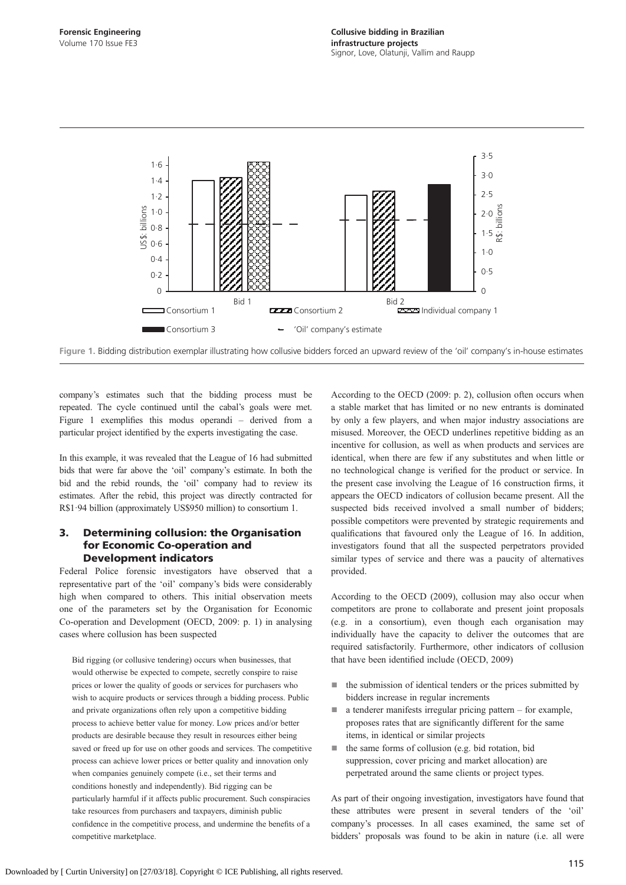<span id="page-2-0"></span>

Figure 1. Bidding distribution exemplar illustrating how collusive bidders forced an upward review of the 'oil' company's in-house estimates

company's estimates such that the bidding process must be repeated. The cycle continued until the cabal's goals were met. Figure 1 exemplifies this modus operandi – derived from a particular project identified by the experts investigating the case.

In this example, it was revealed that the League of 16 had submitted bids that were far above the 'oil' company's estimate. In both the bid and the rebid rounds, the 'oil' company had to review its estimates. After the rebid, this project was directly contracted for R\$1·94 billion (approximately US\$950 million) to consortium 1.

## 3. Determining collusion: the Organisation for Economic Co-operation and Development indicators

Federal Police forensic investigators have observed that a representative part of the 'oil' company's bids were considerably high when compared to others. This initial observation meets one of the parameters set by the Organisation for Economic Co-operation and Development ([OECD, 2009:](#page-10-0) p. 1) in analysing cases where collusion has been suspected

Bid rigging (or collusive tendering) occurs when businesses, that would otherwise be expected to compete, secretly conspire to raise prices or lower the quality of goods or services for purchasers who wish to acquire products or services through a bidding process. Public and private organizations often rely upon a competitive bidding process to achieve better value for money. Low prices and/or better products are desirable because they result in resources either being saved or freed up for use on other goods and services. The competitive process can achieve lower prices or better quality and innovation only when companies genuinely compete (i.e., set their terms and conditions honestly and independently). Bid rigging can be particularly harmful if it affects public procurement. Such conspiracies take resources from purchasers and taxpayers, diminish public confidence in the competitive process, and undermine the benefits of a competitive marketplace.

According to the [OECD \(2009:](#page-10-0) p. 2), collusion often occurs when a stable market that has limited or no new entrants is dominated by only a few players, and when major industry associations are misused. Moreover, the OECD underlines repetitive bidding as an incentive for collusion, as well as when products and services are identical, when there are few if any substitutes and when little or no technological change is verified for the product or service. In the present case involving the League of 16 construction firms, it appears the OECD indicators of collusion became present. All the suspected bids received involved a small number of bidders; possible competitors were prevented by strategic requirements and qualifications that favoured only the League of 16. In addition, investigators found that all the suspected perpetrators provided similar types of service and there was a paucity of alternatives provided.

According to the [OECD \(2009\)](#page-10-0), collusion may also occur when competitors are prone to collaborate and present joint proposals (e.g. in a consortium), even though each organisation may individually have the capacity to deliver the outcomes that are required satisfactorily. Furthermore, other indicators of collusion that have been identified include ([OECD, 2009](#page-10-0))

- the submission of identical tenders or the prices submitted by bidders increase in regular increments
- a tenderer manifests irregular pricing pattern for example, proposes rates that are significantly different for the same items, in identical or similar projects
- the same forms of collusion (e.g. bid rotation, bid suppression, cover pricing and market allocation) are perpetrated around the same clients or project types.

As part of their ongoing investigation, investigators have found that these attributes were present in several tenders of the 'oil' company's processes. In all cases examined, the same set of bidders' proposals was found to be akin in nature (i.e. all were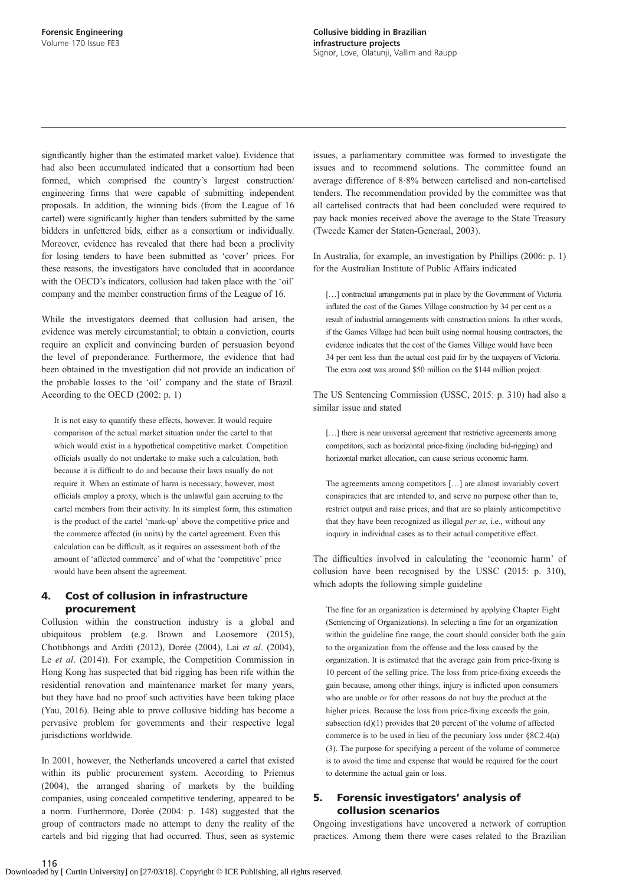significantly higher than the estimated market value). Evidence that had also been accumulated indicated that a consortium had been formed, which comprised the country's largest construction/ engineering firms that were capable of submitting independent proposals. In addition, the winning bids (from the League of 16 cartel) were significantly higher than tenders submitted by the same bidders in unfettered bids, either as a consortium or individually. Moreover, evidence has revealed that there had been a proclivity for losing tenders to have been submitted as 'cover' prices. For these reasons, the investigators have concluded that in accordance with the OECD's indicators, collusion had taken place with the 'oil' company and the member construction firms of the League of 16.

While the investigators deemed that collusion had arisen, the evidence was merely circumstantial; to obtain a conviction, courts require an explicit and convincing burden of persuasion beyond the level of preponderance. Furthermore, the evidence that had been obtained in the investigation did not provide an indication of the probable losses to the 'oil' company and the state of Brazil. According to the [OECD \(2002:](#page-10-0) p. 1)

It is not easy to quantify these effects, however. It would require comparison of the actual market situation under the cartel to that which would exist in a hypothetical competitive market. Competition officials usually do not undertake to make such a calculation, both because it is difficult to do and because their laws usually do not require it. When an estimate of harm is necessary, however, most officials employ a proxy, which is the unlawful gain accruing to the cartel members from their activity. In its simplest form, this estimation is the product of the cartel 'mark-up' above the competitive price and the commerce affected (in units) by the cartel agreement. Even this calculation can be difficult, as it requires an assessment both of the amount of 'affected commerce' and of what the 'competitive' price would have been absent the agreement.

## 4. Cost of collusion in infrastructure procurement

Collusion within the construction industry is a global and ubiquitous problem (e.g. [Brown and Loosemore \(2015\),](#page-9-0) [Chotibhongs and Arditi \(2012\)](#page-9-0), [Dorée \(2004\),](#page-9-0) Lai et al[. \(2004\),](#page-10-0) Le et al[. \(2014\)\)](#page-10-0). For example, the Competition Commission in Hong Kong has suspected that bid rigging has been rife within the residential renovation and maintenance market for many years, but they have had no proof such activities have been taking place [\(Yau, 2016\)](#page-10-0). Being able to prove collusive bidding has become a pervasive problem for governments and their respective legal jurisdictions worldwide.

In 2001, however, the Netherlands uncovered a cartel that existed within its public procurement system. According to [Priemus](#page-10-0) [\(2004\)](#page-10-0), the arranged sharing of markets by the building companies, using concealed competitive tendering, appeared to be a norm. Furthermore, [Dorée \(2004](#page-9-0): p. 148) suggested that the group of contractors made no attempt to deny the reality of the cartels and bid rigging that had occurred. Thus, seen as systemic issues, a parliamentary committee was formed to investigate the issues and to recommend solutions. The committee found an average difference of 8·8% between cartelised and non-cartelised tenders. The recommendation provided by the committee was that all cartelised contracts that had been concluded were required to pay back monies received above the average to the State Treasury ([Tweede Kamer der Staten-Generaal, 2003\)](#page-10-0).

In Australia, for example, an investigation by [Phillips \(2006](#page-10-0): p. 1) for the Australian Institute of Public Affairs indicated

[...] contractual arrangements put in place by the Government of Victoria inflated the cost of the Games Village construction by 34 per cent as a result of industrial arrangements with construction unions. In other words, if the Games Village had been built using normal housing contractors, the evidence indicates that the cost of the Games Village would have been 34 per cent less than the actual cost paid for by the taxpayers of Victoria. The extra cost was around \$50 million on the \$144 million project.

The US Sentencing Commission [\(USSC, 2015:](#page-10-0) p. 310) had also a similar issue and stated

[...] there is near universal agreement that restrictive agreements among competitors, such as horizontal price-fixing (including bid-rigging) and horizontal market allocation, can cause serious economic harm.

The agreements among competitors […] are almost invariably covert conspiracies that are intended to, and serve no purpose other than to, restrict output and raise prices, and that are so plainly anticompetitive that they have been recognized as illegal per se, i.e., without any inquiry in individual cases as to their actual competitive effect.

The difficulties involved in calculating the 'economic harm' of collusion have been recognised by the [USSC \(2015:](#page-10-0) p. 310), which adopts the following simple guideline

The fine for an organization is determined by applying Chapter Eight (Sentencing of Organizations). In selecting a fine for an organization within the guideline fine range, the court should consider both the gain to the organization from the offense and the loss caused by the organization. It is estimated that the average gain from price-fixing is 10 percent of the selling price. The loss from price-fixing exceeds the gain because, among other things, injury is inflicted upon consumers who are unable or for other reasons do not buy the product at the higher prices. Because the loss from price-fixing exceeds the gain, subsection  $(d)(1)$  provides that 20 percent of the volume of affected commerce is to be used in lieu of the pecuniary loss under §8C2.4(a) (3). The purpose for specifying a percent of the volume of commerce is to avoid the time and expense that would be required for the court to determine the actual gain or loss.

## 5. Forensic investigators' analysis of collusion scenarios

Ongoing investigations have uncovered a network of corruption practices. Among them there were cases related to the Brazilian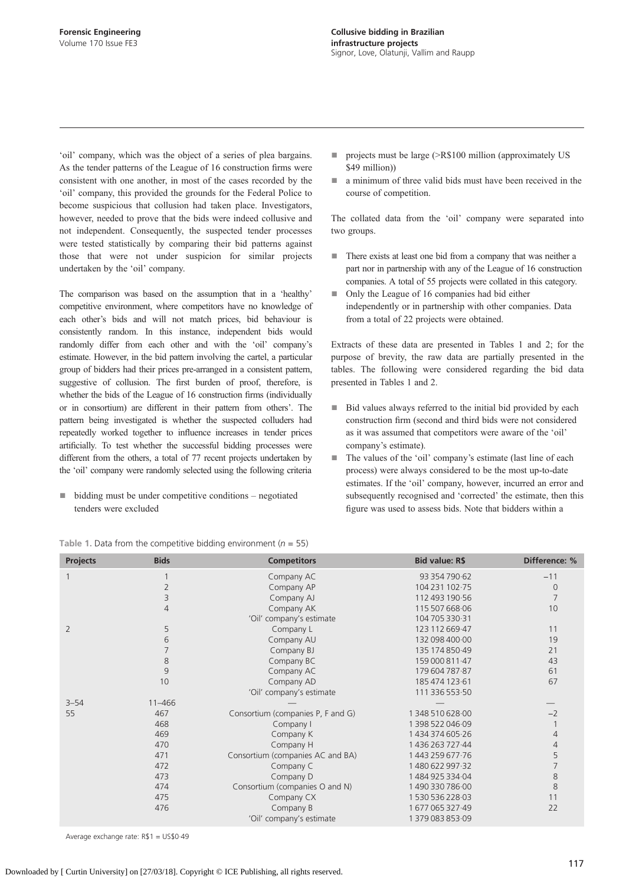<span id="page-4-0"></span>'oil' company, which was the object of a series of plea bargains. As the tender patterns of the League of 16 construction firms were consistent with one another, in most of the cases recorded by the 'oil' company, this provided the grounds for the Federal Police to become suspicious that collusion had taken place. Investigators, however, needed to prove that the bids were indeed collusive and not independent. Consequently, the suspected tender processes were tested statistically by comparing their bid patterns against those that were not under suspicion for similar projects undertaken by the 'oil' company.

The comparison was based on the assumption that in a 'healthy' competitive environment, where competitors have no knowledge of each other's bids and will not match prices, bid behaviour is consistently random. In this instance, independent bids would randomly differ from each other and with the 'oil' company's estimate. However, in the bid pattern involving the cartel, a particular group of bidders had their prices pre-arranged in a consistent pattern, suggestive of collusion. The first burden of proof, therefore, is whether the bids of the League of 16 construction firms (individually or in consortium) are different in their pattern from others'. The pattern being investigated is whether the suspected colluders had repeatedly worked together to influence increases in tender prices artificially. To test whether the successful bidding processes were different from the others, a total of 77 recent projects undertaken by the 'oil' company were randomly selected using the following criteria

 $b$ idding must be under competitive conditions – negotiated tenders were excluded

- projects must be large (>R\$100 million (approximately US \$49 million))
- a minimum of three valid bids must have been received in the course of competition.

The collated data from the 'oil' company were separated into two groups.

- There exists at least one bid from a company that was neither a part nor in partnership with any of the League of 16 construction companies. A total of 55 projects were collated in this category.
- Only the League of 16 companies had bid either independently or in partnership with other companies. Data from a total of 22 projects were obtained.

Extracts of these data are presented in Tables 1 and [2;](#page-5-0) for the purpose of brevity, the raw data are partially presented in the tables. The following were considered regarding the bid data presented in Tables 1 and [2](#page-5-0).

- Bid values always referred to the initial bid provided by each construction firm (second and third bids were not considered as it was assumed that competitors were aware of the 'oil' company's estimate).
- The values of the 'oil' company's estimate (last line of each process) were always considered to be the most up-to-date estimates. If the 'oil' company, however, incurred an error and subsequently recognised and 'corrected' the estimate, then this figure was used to assess bids. Note that bidders within a

| Projects       | <b>Bids</b>    | <b>Competitors</b>                | <b>Bid value: R\$</b> | Difference: %  |
|----------------|----------------|-----------------------------------|-----------------------|----------------|
|                |                | Company AC                        | 93 354 790 62         | $-11$          |
|                | 2              | Company AP                        | 104 231 102 75        | $\overline{0}$ |
|                | 3              | Company AJ                        | 112 493 190 56        | $\overline{7}$ |
|                | $\overline{4}$ | Company AK                        | 115 507 668 06        | 10             |
|                |                | 'Oil' company's estimate          | 104 705 330 31        |                |
| $\overline{2}$ | 5              | Company L                         | 123 112 669 47        | 11             |
|                | 6              | Company AU                        | 132 098 400 00        | 19             |
|                | 7              | Company BJ                        | 135 174 850 49        | 21             |
|                | 8              | Company BC                        | 159 000 811 47        | 43             |
|                | 9              | Company AC                        | 179 604 787 87        | 61             |
|                | 10             | Company AD                        | 185 474 123 61        | 67             |
|                |                | 'Oil' company's estimate          | 111 336 553 50        |                |
| $3 - 54$       | $11 - 466$     |                                   |                       |                |
| 55             | 467            | Consortium (companies P, F and G) | 1348 510 628 00       | $-2$           |
|                | 468            | Company I                         | 1398 522 046.09       |                |
|                | 469            | Company K                         | 1434374605.26         | 4              |
|                | 470            | Company H                         | 1436 263 727 44       | $\overline{4}$ |
|                | 471            | Consortium (companies AC and BA)  | 1443 259 677 76       | 5              |
|                | 472            | Company C                         | 1480 622 997 32       | 7              |
|                | 473            | Company D                         | 148492533404          | 8              |
|                | 474            | Consortium (companies O and N)    | 149033078600          | 8              |
|                | 475            | Company CX                        | 153053622803          | 11             |
|                | 476            | Company B                         | 1677065327.49         | 22             |
|                |                | 'Oil' company's estimate          | 137908385309          |                |

Table 1. Data from the competitive bidding environment ( $n = 55$ )

Average exchange rate: R\$1 = US\$0·49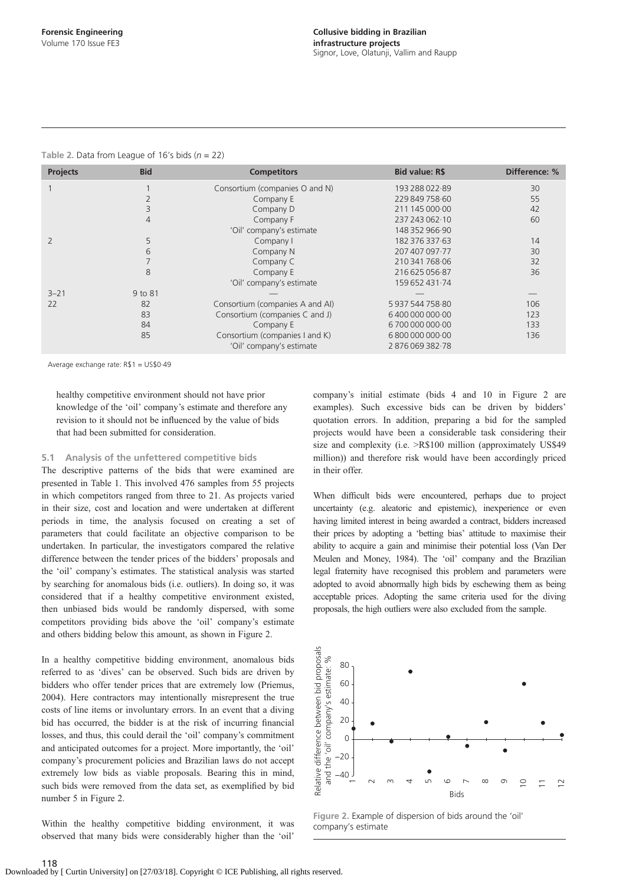| <b>Projects</b> | <b>Bid</b>     | <b>Competitors</b>              | <b>Bid value: R\$</b> | Difference: % |
|-----------------|----------------|---------------------------------|-----------------------|---------------|
|                 |                | Consortium (companies O and N)  | 193 288 022 89        | 30            |
|                 | $\overline{2}$ | Company E                       | 229 849 758 60        | 55            |
|                 | 3              | Company D                       | 211 145 000 00        | 42            |
|                 | 4              | Company F                       | 237 243 062 0         | 60            |
|                 |                | 'Oil' company's estimate        | 148 352 966 90        |               |
|                 | 5              | Company I                       | 182 376 337 63        | 14            |
|                 | 6              | Company N                       | 207 407 097 - 77      | 30            |
|                 |                | Company C                       | 210 341 768 06        | 32            |
|                 | 8              | Company E                       | 216 625 056 87        | 36            |
|                 |                | 'Oil' company's estimate        | 159 652 431 74        |               |
| $3 - 21$        | 9 to 81        |                                 |                       |               |
| 22              | 82             | Consortium (companies A and AI) | 593754475880          | 106           |
|                 | 83             | Consortium (companies C and J)  | 640000000000          | 123           |
|                 | 84             | Company E                       | 670000000000          | 133           |
|                 | 85             | Consortium (companies I and K)  | 680000000000          | 136           |
|                 |                | 'Oil' company's estimate        | 2876069382.78         |               |

#### <span id="page-5-0"></span>Table 2. Data from League of 16's bids ( $n = 22$ )

Average exchange rate: R\$1 = US\$0·49

healthy competitive environment should not have prior knowledge of the 'oil' company's estimate and therefore any revision to it should not be influenced by the value of bids that had been submitted for consideration.

#### 5.1 Analysis of the unfettered competitive bids

The descriptive patterns of the bids that were examined are presented in [Table 1.](#page-4-0) This involved 476 samples from 55 projects in which competitors ranged from three to 21. As projects varied in their size, cost and location and were undertaken at different periods in time, the analysis focused on creating a set of parameters that could facilitate an objective comparison to be undertaken. In particular, the investigators compared the relative difference between the tender prices of the bidders' proposals and the 'oil' company's estimates. The statistical analysis was started by searching for anomalous bids (i.e. outliers). In doing so, it was considered that if a healthy competitive environment existed, then unbiased bids would be randomly dispersed, with some competitors providing bids above the 'oil' company's estimate and others bidding below this amount, as shown in Figure 2.

In a healthy competitive bidding environment, anomalous bids referred to as 'dives' can be observed. Such bids are driven by bidders who offer tender prices that are extremely low ([Priemus,](#page-10-0) [2004](#page-10-0)). Here contractors may intentionally misrepresent the true costs of line items or involuntary errors. In an event that a diving bid has occurred, the bidder is at the risk of incurring financial losses, and thus, this could derail the 'oil' company's commitment and anticipated outcomes for a project. More importantly, the 'oil' company's procurement policies and Brazilian laws do not accept extremely low bids as viable proposals. Bearing this in mind, such bids were removed from the data set, as exemplified by bid number 5 in Figure 2.

Within the healthy competitive bidding environment, it was observed that many bids were considerably higher than the 'oil'

company's initial estimate (bids 4 and 10 in Figure 2 are examples). Such excessive bids can be driven by bidders' quotation errors. In addition, preparing a bid for the sampled projects would have been a considerable task considering their size and complexity (i.e.  $\geq$ R\$100 million (approximately US\$49) million)) and therefore risk would have been accordingly priced in their offer.

When difficult bids were encountered, perhaps due to project uncertainty (e.g. aleatoric and epistemic), inexperience or even having limited interest in being awarded a contract, bidders increased their prices by adopting a 'betting bias' attitude to maximise their ability to acquire a gain and minimise their potential loss ([Van Der](#page-10-0) [Meulen and Money, 1984](#page-10-0)). The 'oil' company and the Brazilian legal fraternity have recognised this problem and parameters were adopted to avoid abnormally high bids by eschewing them as being acceptable prices. Adopting the same criteria used for the diving proposals, the high outliers were also excluded from the sample.



Figure 2. Example of dispersion of bids around the 'oil' company's estimate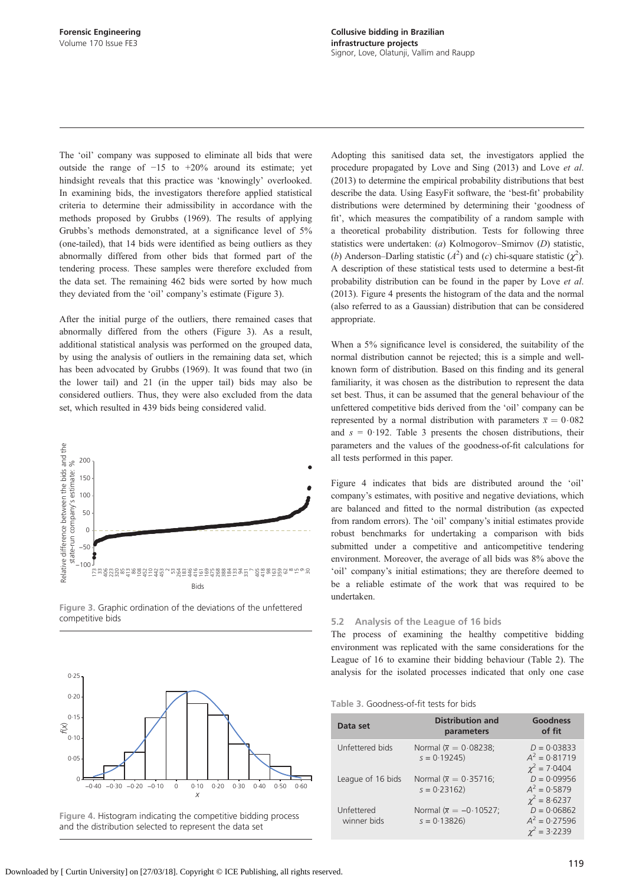<span id="page-6-0"></span>The 'oil' company was supposed to eliminate all bids that were outside the range of  $-15$  to  $+20\%$  around its estimate; yet hindsight reveals that this practice was 'knowingly' overlooked. In examining bids, the investigators therefore applied statistical criteria to determine their admissibility in accordance with the methods proposed by [Grubbs \(1969\).](#page-10-0) The results of applying Grubbs's methods demonstrated, at a significance level of 5% (one-tailed), that 14 bids were identified as being outliers as they abnormally differed from other bids that formed part of the tendering process. These samples were therefore excluded from the data set. The remaining 462 bids were sorted by how much they deviated from the 'oil' company's estimate (Figure 3).

After the initial purge of the outliers, there remained cases that abnormally differed from the others (Figure 3). As a result, additional statistical analysis was performed on the grouped data, by using the analysis of outliers in the remaining data set, which has been advocated by [Grubbs \(1969\).](#page-10-0) It was found that two (in the lower tail) and 21 (in the upper tail) bids may also be considered outliers. Thus, they were also excluded from the data set, which resulted in 439 bids being considered valid.









Adopting this sanitised data set, the investigators applied the procedure propagated by [Love and Sing \(2013\)](#page-10-0) and [Love](#page-10-0) et al. [\(2013\)](#page-10-0) to determine the empirical probability distributions that best describe the data. Using EasyFit software, the 'best-fit' probability distributions were determined by determining their 'goodness of fit', which measures the compatibility of a random sample with a theoretical probability distribution. Tests for following three statistics were undertaken: (a) Kolmogorov–Smirnov (D) statistic, (b) Anderson–Darling statistic ( $A^2$ ) and (c) chi-square statistic ( $\chi^2$ ). A description of these statistical tests used to determine a best-fit probability distribution can be found in the paper by [Love](#page-10-0) et al. [\(2013\).](#page-10-0) Figure 4 presents the histogram of the data and the normal (also referred to as a Gaussian) distribution that can be considered appropriate.

When a 5% significance level is considered, the suitability of the normal distribution cannot be rejected; this is a simple and wellknown form of distribution. Based on this finding and its general familiarity, it was chosen as the distribution to represent the data set best. Thus, it can be assumed that the general behaviour of the unfettered competitive bids derived from the 'oil' company can be represented by a normal distribution with parameters  $\bar{x} = 0.082$ and  $s = 0.192$ . Table 3 presents the chosen distributions, their parameters and the values of the goodness-of-fit calculations for all tests performed in this paper.

Figure 4 indicates that bids are distributed around the 'oil' company's estimates, with positive and negative deviations, which are balanced and fitted to the normal distribution (as expected from random errors). The 'oil' company's initial estimates provide robust benchmarks for undertaking a comparison with bids submitted under a competitive and anticompetitive tendering environment. Moreover, the average of all bids was 8% above the 'oil' company's initial estimations; they are therefore deemed to be a reliable estimate of the work that was required to be undertaken.

#### 5.2 Analysis of the League of 16 bids

The process of examining the healthy competitive bidding environment was replicated with the same considerations for the League of 16 to examine their bidding behaviour [\(Table 2\)](#page-5-0). The analysis for the isolated processes indicated that only one case

#### Table 3. Goodness-of-fit tests for bids

| Data set                  | <b>Distribution and</b><br>parameters                | Goodness<br>of fit                                    |
|---------------------------|------------------------------------------------------|-------------------------------------------------------|
| Unfettered bids           | Normal ( $\overline{x} = 0.08238$ ;<br>$s = 0.19245$ | $D = 0.03833$<br>$A^2 = 0.81719$<br>$\chi^2 = 7.0404$ |
| League of 16 bids         | Normal $(\overline{x} = 0.35716)$<br>$s = 0.23162$   | $D = 0.09956$<br>$A^2 = 0.5879$<br>$\chi^2 = 8.6237$  |
| Unfettered<br>winner bids | Normal $(\overline{x} = -0.10527)$<br>$s = 0.13826$  | $D = 0.06862$<br>$A^2 = 0.27596$<br>$x^2 = 3.2239$    |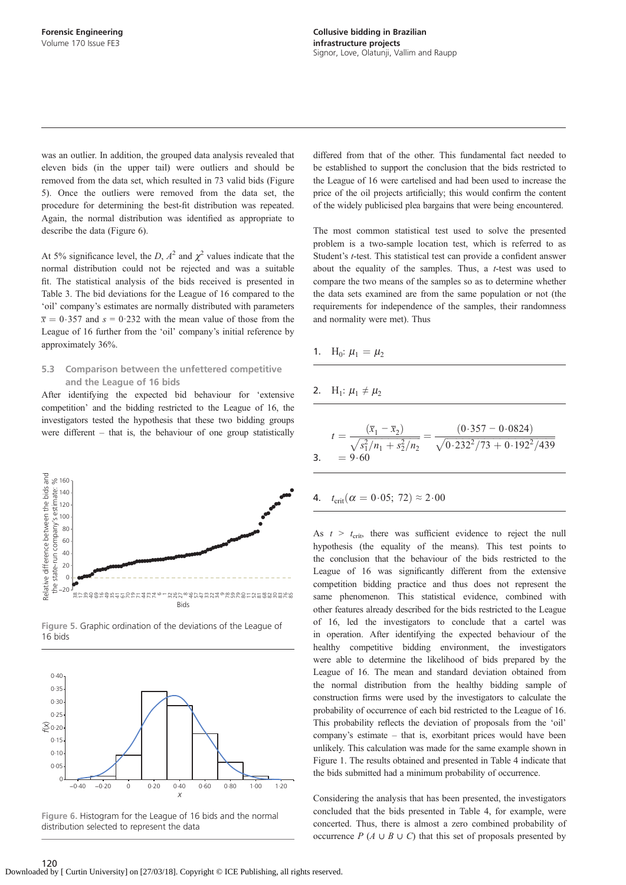was an outlier. In addition, the grouped data analysis revealed that eleven bids (in the upper tail) were outliers and should be removed from the data set, which resulted in 73 valid bids (Figure 5). Once the outliers were removed from the data set, the procedure for determining the best-fit distribution was repeated. Again, the normal distribution was identified as appropriate to describe the data (Figure 6).

At 5% significance level, the D,  $A^2$  and  $\chi^2$  values indicate that the normal distribution could not be rejected and was a suitable fit. The statistical analysis of the bids received is presented in [Table 3.](#page-6-0) The bid deviations for the League of 16 compared to the 'oil' company's estimates are normally distributed with parameters  $\bar{x} = 0.357$  and  $s = 0.232$  with the mean value of those from the League of 16 further from the 'oil' company's initial reference by approximately 36%.

### 5.3 Comparison between the unfettered competitive and the League of 16 bids

After identifying the expected bid behaviour for 'extensive competition' and the bidding restricted to the League of 16, the investigators tested the hypothesis that these two bidding groups were different – that is, the behaviour of one group statistically



Figure 5. Graphic ordination of the deviations of the League of 16 bids





differed from that of the other. This fundamental fact needed to be established to support the conclusion that the bids restricted to the League of 16 were cartelised and had been used to increase the price of the oil projects artificially; this would confirm the content of the widely publicised plea bargains that were being encountered.

The most common statistical test used to solve the presented problem is a two-sample location test, which is referred to as Student's t-test. This statistical test can provide a confident answer about the equality of the samples. Thus, a  $t$ -test was used to compare the two means of the samples so as to determine whether the data sets examined are from the same population or not (the requirements for independence of the samples, their randomness and normality were met). Thus

1. 
$$
H_0
$$
:  $\mu_1 = \mu_2$ 

2. 
$$
H_1
$$
:  $\mu_1 \neq \mu_2$ 

$$
t = \frac{(\overline{x}_1 - \overline{x}_2)}{\sqrt{s_1^2/n_1 + s_2^2/n_2}} = \frac{(0.357 - 0.0824)}{\sqrt{0.232^2/73 + 0.192^2/439}}
$$
  
3. = 9.60

4. 
$$
t_{\text{crit}}(\alpha = 0.05; 72) \approx 2.00
$$

As  $t > t_{\text{crit}}$ , there was sufficient evidence to reject the null hypothesis (the equality of the means). This test points to the conclusion that the behaviour of the bids restricted to the League of 16 was significantly different from the extensive competition bidding practice and thus does not represent the same phenomenon. This statistical evidence, combined with other features already described for the bids restricted to the League of 16, led the investigators to conclude that a cartel was in operation. After identifying the expected behaviour of the healthy competitive bidding environment, the investigators were able to determine the likelihood of bids prepared by the League of 16. The mean and standard deviation obtained from the normal distribution from the healthy bidding sample of construction firms were used by the investigators to calculate the probability of occurrence of each bid restricted to the League of 16. This probability reflects the deviation of proposals from the 'oil' company's estimate – that is, exorbitant prices would have been unlikely. This calculation was made for the same example shown in [Figure 1.](#page-2-0) The results obtained and presented in [Table 4](#page-8-0) indicate that the bids submitted had a minimum probability of occurrence.

Considering the analysis that has been presented, the investigators concluded that the bids presented in [Table 4](#page-8-0), for example, were concerted. Thus, there is almost a zero combined probability of occurrence  $P(A \cup B \cup C)$  that this set of proposals presented by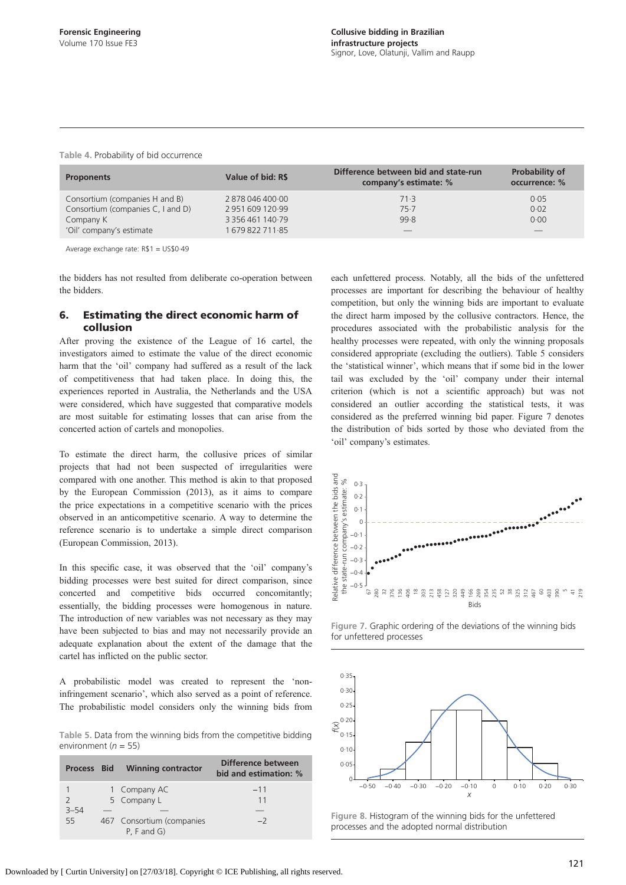| <b>Proponents</b>                 | Value of bid: R\$               | Difference between bid and state-run<br>company's estimate: % | <b>Probability of</b><br>occurrence: % |
|-----------------------------------|---------------------------------|---------------------------------------------------------------|----------------------------------------|
| Consortium (companies H and B)    | 2878046400.00                   | 71.3                                                          | 0.05                                   |
| Consortium (companies C, I and D) | 2951609120.99                   | 75.7                                                          | 0.02                                   |
| Company K                         | 3 3 5 6 4 6 1 1 4 0 $\cdot$ 7 9 | 99.8                                                          | 0.00                                   |
| 'Oil' company's estimate          | 167982271185                    |                                                               |                                        |

<span id="page-8-0"></span>Table 4. Probability of bid occurrence

Average exchange rate: R\$1 = US\$0·49

the bidders has not resulted from deliberate co-operation between the bidders.

## 6. Estimating the direct economic harm of collusion

After proving the existence of the League of 16 cartel, the investigators aimed to estimate the value of the direct economic harm that the 'oil' company had suffered as a result of the lack of competitiveness that had taken place. In doing this, the experiences reported in Australia, the Netherlands and the USA were considered, which have suggested that comparative models are most suitable for estimating losses that can arise from the concerted action of cartels and monopolies.

To estimate the direct harm, the collusive prices of similar projects that had not been suspected of irregularities were compared with one another. This method is akin to that proposed by the [European Commission \(2013\)](#page-9-0), as it aims to compare the price expectations in a competitive scenario with the prices observed in an anticompetitive scenario. A way to determine the reference scenario is to undertake a simple direct comparison [\(European Commission, 2013](#page-9-0)).

In this specific case, it was observed that the 'oil' company's bidding processes were best suited for direct comparison, since concerted and competitive bids occurred concomitantly; essentially, the bidding processes were homogenous in nature. The introduction of new variables was not necessary as they may have been subjected to bias and may not necessarily provide an adequate explanation about the extent of the damage that the cartel has inflicted on the public sector.

A probabilistic model was created to represent the 'noninfringement scenario', which also served as a point of reference. The probabilistic model considers only the winning bids from

Table 5. Data from the winning bids from the competitive bidding environment ( $n = 55$ )

| <b>Process Bid</b>       | <b>Winning contractor</b>                        | Difference between<br>bid and estimation: % |
|--------------------------|--------------------------------------------------|---------------------------------------------|
|                          | 1 Company AC                                     | $-11$                                       |
| $\overline{\phantom{0}}$ | 5 Company L                                      | 11                                          |
| $3 - 54$                 |                                                  |                                             |
| 55                       | 467 Consortium (companies<br>$P$ , $F$ and $G$ ) | $-2$                                        |

each unfettered process. Notably, all the bids of the unfettered processes are important for describing the behaviour of healthy competition, but only the winning bids are important to evaluate the direct harm imposed by the collusive contractors. Hence, the procedures associated with the probabilistic analysis for the healthy processes were repeated, with only the winning proposals considered appropriate (excluding the outliers). Table 5 considers the 'statistical winner', which means that if some bid in the lower tail was excluded by the 'oil' company under their internal criterion (which is not a scientific approach) but was not considered an outlier according the statistical tests, it was considered as the preferred winning bid paper. Figure 7 denotes the distribution of bids sorted by those who deviated from the 'oil' company's estimates.



Figure 7. Graphic ordering of the deviations of the winning bids for unfettered processes



Figure 8. Histogram of the winning bids for the unfettered processes and the adopted normal distribution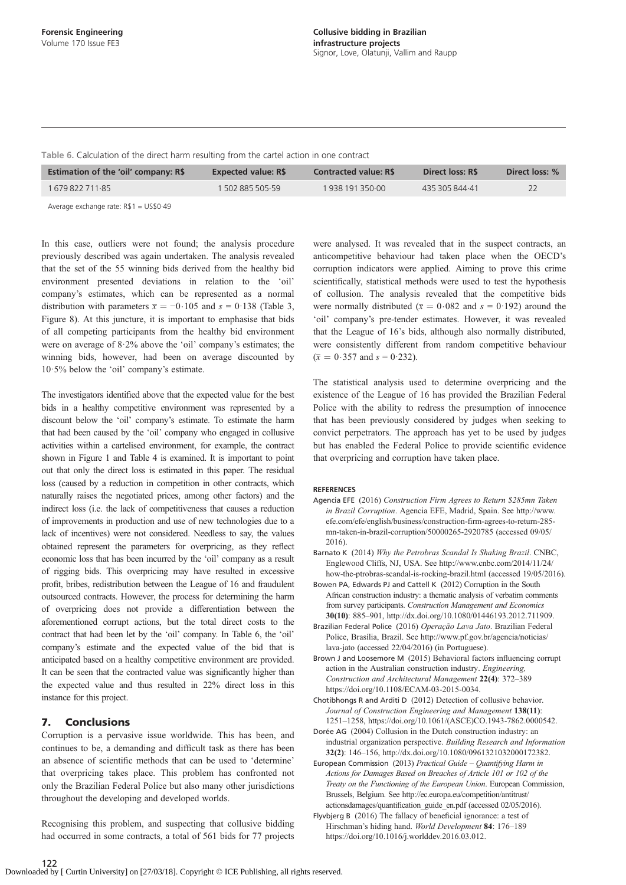<span id="page-9-0"></span>Table 6. Calculation of the direct harm resulting from the cartel action in one contract

|                                  |              |                | Direct loss: % |
|----------------------------------|--------------|----------------|----------------|
| 1 502 885 505.59<br>167982271185 | 193819135000 | 435 305 844 41 |                |

Average exchange rate: R\$1 = US\$0·49

In this case, outliers were not found; the analysis procedure previously described was again undertaken. The analysis revealed that the set of the 55 winning bids derived from the healthy bid environment presented deviations in relation to the 'oil' company's estimates, which can be represented as a normal distribution with parameters  $\bar{x} = -0.105$  and  $s = 0.138$  [\(Table 3,](#page-6-0) [Figure 8\)](#page-8-0). At this juncture, it is important to emphasise that bids of all competing participants from the healthy bid environment were on average of 8·2% above the 'oil' company's estimates; the winning bids, however, had been on average discounted by 10·5% below the 'oil' company's estimate.

The investigators identified above that the expected value for the best bids in a healthy competitive environment was represented by a discount below the 'oil' company's estimate. To estimate the harm that had been caused by the 'oil' company who engaged in collusive activities within a cartelised environment, for example, the contract shown in [Figure 1](#page-2-0) and [Table 4](#page-8-0) is examined. It is important to point out that only the direct loss is estimated in this paper. The residual loss (caused by a reduction in competition in other contracts, which naturally raises the negotiated prices, among other factors) and the indirect loss (i.e. the lack of competitiveness that causes a reduction of improvements in production and use of new technologies due to a lack of incentives) were not considered. Needless to say, the values obtained represent the parameters for overpricing, as they reflect economic loss that has been incurred by the 'oil' company as a result of rigging bids. This overpricing may have resulted in excessive profit, bribes, redistribution between the League of 16 and fraudulent outsourced contracts. However, the process for determining the harm of overpricing does not provide a differentiation between the aforementioned corrupt actions, but the total direct costs to the contract that had been let by the 'oil' company. In Table 6, the 'oil' company's estimate and the expected value of the bid that is anticipated based on a healthy competitive environment are provided. It can be seen that the contracted value was significantly higher than the expected value and thus resulted in 22% direct loss in this instance for this project.

## 7. Conclusions

Corruption is a pervasive issue worldwide. This has been, and continues to be, a demanding and difficult task as there has been an absence of scientific methods that can be used to 'determine' that overpricing takes place. This problem has confronted not only the Brazilian Federal Police but also many other jurisdictions throughout the developing and developed worlds.

Recognising this problem, and suspecting that collusive bidding had occurred in some contracts, a total of 561 bids for 77 projects were analysed. It was revealed that in the suspect contracts, an anticompetitive behaviour had taken place when the OECD's corruption indicators were applied. Aiming to prove this crime scientifically, statistical methods were used to test the hypothesis of collusion. The analysis revealed that the competitive bids were normally distributed ( $\bar{x} = 0.082$  and  $s = 0.192$ ) around the 'oil' company's pre-tender estimates. However, it was revealed that the League of 16's bids, although also normally distributed, were consistently different from random competitive behaviour  $(\bar{x} = 0.357 \text{ and } s = 0.232).$ 

The statistical analysis used to determine overpricing and the existence of the League of 16 has provided the Brazilian Federal Police with the ability to redress the presumption of innocence that has been previously considered by judges when seeking to convict perpetrators. The approach has yet to be used by judges but has enabled the Federal Police to provide scientific evidence that overpricing and corruption have taken place.

#### REFERENCES

- Agencia EFE (2016) Construction Firm Agrees to Return \$285mn Taken in Brazil Corruption. Agencia EFE, Madrid, Spain. See [http://www.](http://www.efe.com/efe/english/business/construction-firm-agrees-to-return-285-mn-taken-in-brazil-corruption/50000265-2920785) [efe.com/efe/english/business/construction-](http://www.efe.com/efe/english/business/construction-firm-agrees-to-return-285-mn-taken-in-brazil-corruption/50000265-2920785)firm-agrees-to-return-285 [mn-taken-in-brazil-corruption/50000265-2920785](http://www.efe.com/efe/english/business/construction-firm-agrees-to-return-285-mn-taken-in-brazil-corruption/50000265-2920785) (accessed 09/05/ 2016).
- Barnato K (2014) Why the Petrobras Scandal Is Shaking Brazil. CNBC, Englewood Cliffs, NJ, USA. See [http://www.cnbc.com/2014/11/24/](http://www.cnbc.com/2014/11/24/how-the-ptrobras-scandal-is-rocking-brazil.html) [how-the-ptrobras-scandal-is-rocking-brazil.html](http://www.cnbc.com/2014/11/24/how-the-ptrobras-scandal-is-rocking-brazil.html) (accessed 19/05/2016).
- Bowen PA, Edwards PJ and Cattell K (2012) Corruption in the South African construction industry: a thematic analysis of verbatim comments from survey participants. Construction Management and Economics 30(10): 885–901, [http://dx.doi.org/10.1080/01446193.2012.711909.](http://dx.doi.org/10.1080/01446193.2012.711909)
- Brazilian Federal Police (2016) Operação Lava Jato. Brazilian Federal Police, Brasília, Brazil. See [http://www.pf.gov.br/agencia/noticias/](http://www.pf.gov.br/agencia/noticias/lava-jato) [lava-jato](http://www.pf.gov.br/agencia/noticias/lava-jato) (accessed 22/04/2016) (in Portuguese).
- Brown J and Loosemore M (2015) Behavioral factors influencing corrupt action in the Australian construction industry. Engineering, Construction and Architectural Management 22(4): 372–389 [https://doi.org/10.1108/ECAM-03-2015-0034.](https://doi.org/10.1108/ECAM-03-2015-0034)
- Chotibhongs R and Arditi D (2012) Detection of collusive behavior. Journal of Construction Engineering and Management 138(11): 1251–1258, [https://doi.org/10.1061/\(ASCE\)CO.1943-7862.0000542.](https://doi.org/10.1061/(ASCE)CO.1943-7862.0000542)
- Dorée AG (2004) Collusion in the Dutch construction industry: an industrial organization perspective. Building Research and Information 32(2): 146–156, [http://dx.doi.org/10.1080/0961321032000172382.](http://dx.doi.org/10.1080/0961321032000172382)
- European Commission (2013) Practical Guide Quantifying Harm in Actions for Damages Based on Breaches of Article 101 or 102 of the Treaty on the Functioning of the European Union. European Commission, Brussels, Belgium. See [http://ec.europa.eu/competition/antitrust/](http://ec.europa.eu/competition/antitrust/actionsdamages/quantification_guide_en.pdf) [actionsdamages/quanti](http://ec.europa.eu/competition/antitrust/actionsdamages/quantification_guide_en.pdf)fication\_guide\_en.pdf (accessed 02/05/2016).
- Flyvbjerg B (2016) The fallacy of beneficial ignorance: a test of Hirschman's hiding hand. World Development 84: 176–189 [https://doi.org/10.1016/j.worlddev.2016.03.012.](https://doi.org/10.1016/j.worlddev.2016.03.012)